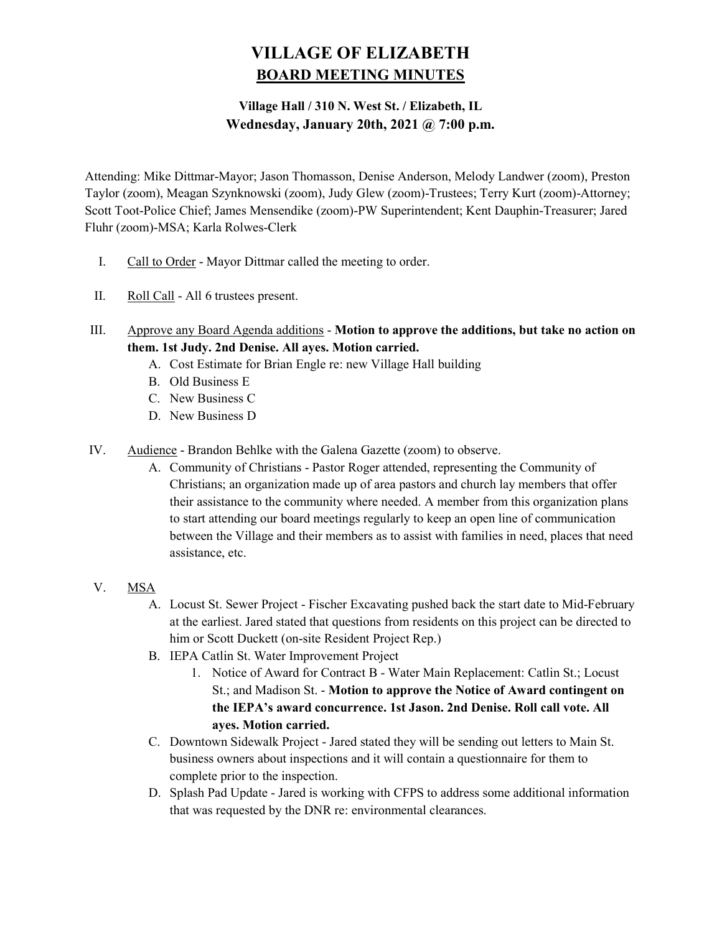# VILLAGE OF ELIZABETH BOARD MEETING MINUTES

# Village Hall / 310 N. West St. / Elizabeth, IL Wednesday, January 20th, 2021 @ 7:00 p.m.

Attending: Mike Dittmar-Mayor; Jason Thomasson, Denise Anderson, Melody Landwer (zoom), Preston Taylor (zoom), Meagan Szynknowski (zoom), Judy Glew (zoom)-Trustees; Terry Kurt (zoom)-Attorney; Scott Toot-Police Chief; James Mensendike (zoom)-PW Superintendent; Kent Dauphin-Treasurer; Jared Fluhr (zoom)-MSA; Karla Rolwes-Clerk

- I. Call to Order Mayor Dittmar called the meeting to order.
- II. Roll Call All 6 trustees present.
- III. Approve any Board Agenda additions Motion to approve the additions, but take no action on them. 1st Judy. 2nd Denise. All ayes. Motion carried.
	- A. Cost Estimate for Brian Engle re: new Village Hall building
	- B. Old Business E
	- C. New Business C
	- D. New Business D
- IV. Audience Brandon Behlke with the Galena Gazette (zoom) to observe.
	- A. Community of Christians Pastor Roger attended, representing the Community of Christians; an organization made up of area pastors and church lay members that offer their assistance to the community where needed. A member from this organization plans to start attending our board meetings regularly to keep an open line of communication between the Village and their members as to assist with families in need, places that need assistance, etc.
- V. MSA
	- A. Locust St. Sewer Project Fischer Excavating pushed back the start date to Mid-February at the earliest. Jared stated that questions from residents on this project can be directed to him or Scott Duckett (on-site Resident Project Rep.)
	- B. IEPA Catlin St. Water Improvement Project
		- 1. Notice of Award for Contract B Water Main Replacement: Catlin St.; Locust St.; and Madison St. - Motion to approve the Notice of Award contingent on the IEPA's award concurrence. 1st Jason. 2nd Denise. Roll call vote. All ayes. Motion carried.
	- C. Downtown Sidewalk Project Jared stated they will be sending out letters to Main St. business owners about inspections and it will contain a questionnaire for them to complete prior to the inspection.
	- D. Splash Pad Update Jared is working with CFPS to address some additional information that was requested by the DNR re: environmental clearances.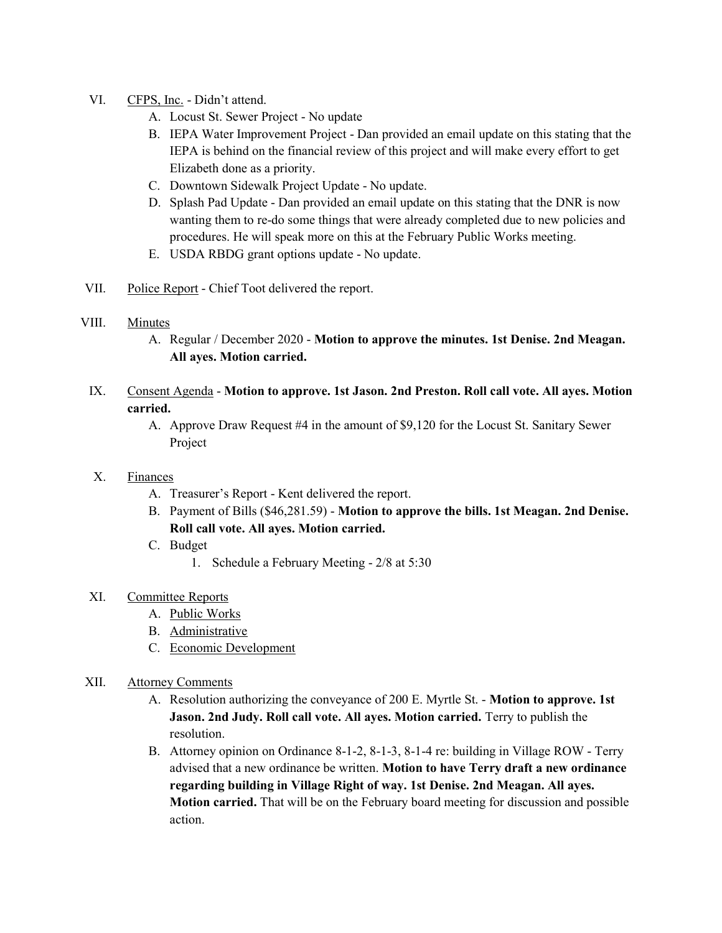- VI. CFPS, Inc. Didn't attend.
	- A. Locust St. Sewer Project No update
	- B. IEPA Water Improvement Project Dan provided an email update on this stating that the IEPA is behind on the financial review of this project and will make every effort to get Elizabeth done as a priority.
	- C. Downtown Sidewalk Project Update No update.
	- D. Splash Pad Update Dan provided an email update on this stating that the DNR is now wanting them to re-do some things that were already completed due to new policies and procedures. He will speak more on this at the February Public Works meeting.
	- E. USDA RBDG grant options update No update.
- VII. Police Report Chief Toot delivered the report.

#### VIII. Minutes

- A. Regular / December 2020 Motion to approve the minutes. 1st Denise. 2nd Meagan. All ayes. Motion carried.
- IX. Consent Agenda Motion to approve. 1st Jason. 2nd Preston. Roll call vote. All ayes. Motion carried.
	- A. Approve Draw Request #4 in the amount of \$9,120 for the Locust St. Sanitary Sewer Project

#### X. Finances

- A. Treasurer's Report Kent delivered the report.
- B. Payment of Bills (\$46,281.59) Motion to approve the bills. 1st Meagan. 2nd Denise. Roll call vote. All ayes. Motion carried.
- C. Budget
	- 1. Schedule a February Meeting 2/8 at 5:30
- XI. Committee Reports
	- A. Public Works
	- B. Administrative
	- C. Economic Development
- XII. Attorney Comments
	- A. Resolution authorizing the conveyance of 200 E. Myrtle St. Motion to approve. 1st Jason. 2nd Judy. Roll call vote. All ayes. Motion carried. Terry to publish the resolution.
	- B. Attorney opinion on Ordinance 8-1-2, 8-1-3, 8-1-4 re: building in Village ROW Terry advised that a new ordinance be written. Motion to have Terry draft a new ordinance regarding building in Village Right of way. 1st Denise. 2nd Meagan. All ayes. Motion carried. That will be on the February board meeting for discussion and possible action.